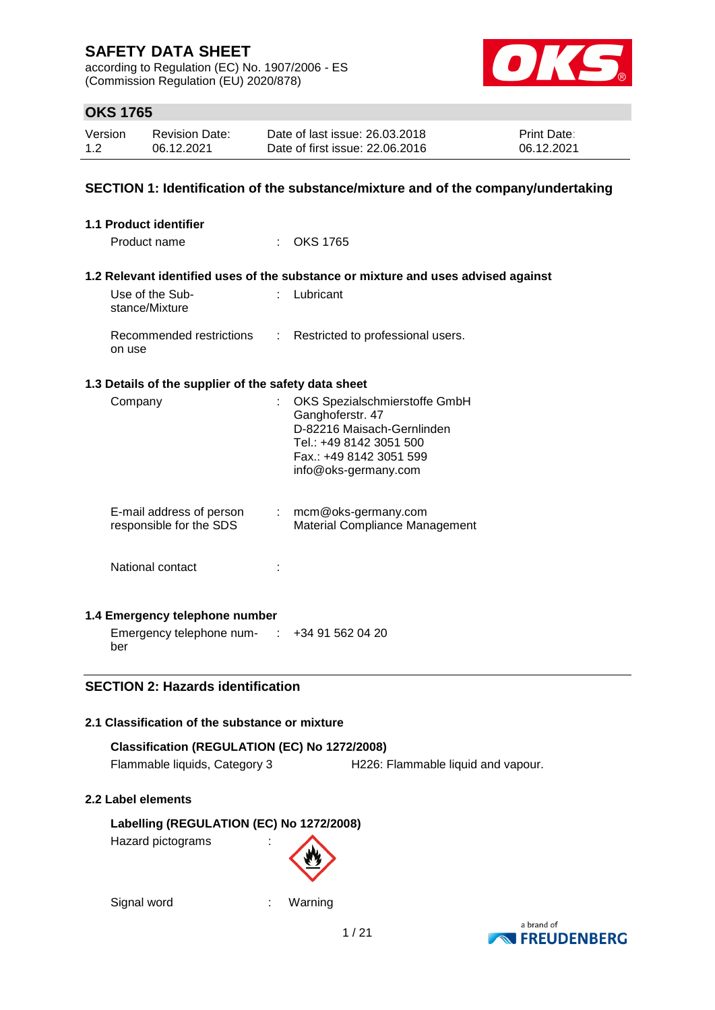according to Regulation (EC) No. 1907/2006 - ES (Commission Regulation (EU) 2020/878)



### **OKS 1765**

| Version | <b>Revision Date:</b> | Date of last issue: 26.03.2018  | <b>Print Date:</b> |
|---------|-----------------------|---------------------------------|--------------------|
| 1.2     | 06.12.2021            | Date of first issue: 22.06.2016 | 06.12.2021         |

### **SECTION 1: Identification of the substance/mixture and of the company/undertaking**

|        | <b>1.1 Product identifier</b>                                                  |                                                                                                                                                               |
|--------|--------------------------------------------------------------------------------|---------------------------------------------------------------------------------------------------------------------------------------------------------------|
|        | Product name                                                                   | : OKS 1765                                                                                                                                                    |
|        |                                                                                |                                                                                                                                                               |
|        |                                                                                | 1.2 Relevant identified uses of the substance or mixture and uses advised against                                                                             |
|        | Use of the Sub-<br>stance/Mixture                                              | Lubricant                                                                                                                                                     |
| on use | Recommended restrictions                                                       | : Restricted to professional users.                                                                                                                           |
|        | 1.3 Details of the supplier of the safety data sheet                           |                                                                                                                                                               |
|        | Company                                                                        | OKS Spezialschmierstoffe GmbH<br>Ganghoferstr. 47<br>D-82216 Maisach-Gernlinden<br>Tel.: +49 8142 3051 500<br>Fax.: +49 8142 3051 599<br>info@oks-germany.com |
|        | E-mail address of person<br>responsible for the SDS                            | : mcm@oks-germany.com<br>Material Compliance Management                                                                                                       |
|        | National contact                                                               |                                                                                                                                                               |
|        | 1.4 Emergency telephone number                                                 |                                                                                                                                                               |
| ber    | Emergency telephone num- : +34 91 562 04 20                                    |                                                                                                                                                               |
|        | <b>SECTION 2: Hazards identification</b>                                       |                                                                                                                                                               |
|        |                                                                                |                                                                                                                                                               |
|        | 2.1 Classification of the substance or mixture                                 |                                                                                                                                                               |
|        | Classification (REGULATION (EC) No 1272/2008)<br>Flammable liquids, Category 3 | H226: Flammable liquid and vapour.                                                                                                                            |
|        | 2.2 Label elements                                                             |                                                                                                                                                               |
|        | Labelling (REGULATION (EC) No 1272/2008)<br>Hazard pictograms                  |                                                                                                                                                               |
|        | Signal word                                                                    | Warning<br>r                                                                                                                                                  |

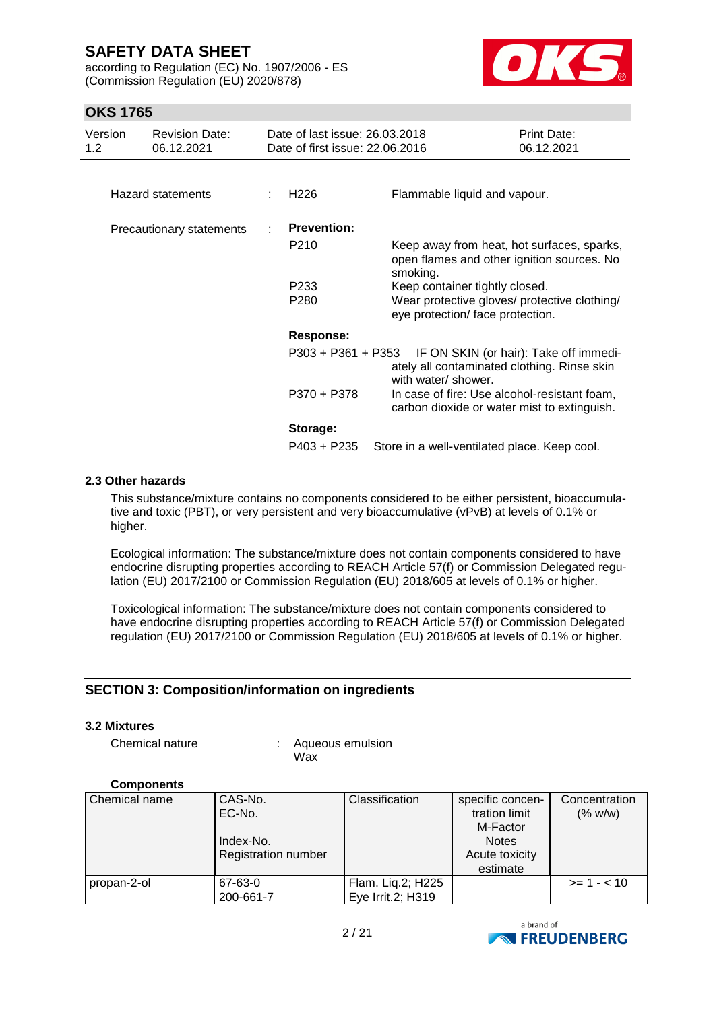according to Regulation (EC) No. 1907/2006 - ES (Commission Regulation (EU) 2020/878)



### **OKS 1765**

| Version<br>1.2 | <b>Revision Date:</b><br>06.12.2021 | Date of last issue: 26.03.2018<br>Date of first issue: 22.06.2016 |                                                                                                      | Print Date:<br>06.12.2021              |
|----------------|-------------------------------------|-------------------------------------------------------------------|------------------------------------------------------------------------------------------------------|----------------------------------------|
|                |                                     |                                                                   |                                                                                                      |                                        |
|                | Hazard statements                   | H <sub>226</sub>                                                  | Flammable liquid and vapour.                                                                         |                                        |
|                | Precautionary statements            | <b>Prevention:</b>                                                |                                                                                                      |                                        |
|                |                                     | P210                                                              | Keep away from heat, hot surfaces, sparks,<br>open flames and other ignition sources. No<br>smoking. |                                        |
|                |                                     | P <sub>233</sub>                                                  | Keep container tightly closed.                                                                       |                                        |
|                |                                     | P <sub>280</sub>                                                  | Wear protective gloves/ protective clothing/<br>eye protection/ face protection.                     |                                        |
|                |                                     | <b>Response:</b>                                                  |                                                                                                      |                                        |
|                |                                     | $P303 + P361 + P353$                                              | ately all contaminated clothing. Rinse skin<br>with water/ shower.                                   | IF ON SKIN (or hair): Take off immedi- |
|                |                                     | P370 + P378                                                       | In case of fire: Use alcohol-resistant foam,<br>carbon dioxide or water mist to extinguish.          |                                        |
|                |                                     | Storage:                                                          |                                                                                                      |                                        |
|                |                                     | P403 + P235                                                       | Store in a well-ventilated place. Keep cool.                                                         |                                        |

#### **2.3 Other hazards**

This substance/mixture contains no components considered to be either persistent, bioaccumulative and toxic (PBT), or very persistent and very bioaccumulative (vPvB) at levels of 0.1% or higher.

Ecological information: The substance/mixture does not contain components considered to have endocrine disrupting properties according to REACH Article 57(f) or Commission Delegated regulation (EU) 2017/2100 or Commission Regulation (EU) 2018/605 at levels of 0.1% or higher.

Toxicological information: The substance/mixture does not contain components considered to have endocrine disrupting properties according to REACH Article 57(f) or Commission Delegated regulation (EU) 2017/2100 or Commission Regulation (EU) 2018/605 at levels of 0.1% or higher.

#### **SECTION 3: Composition/information on ingredients**

#### **3.2 Mixtures**

Chemical nature : Aqueous emulsion Wax

#### **Components**

| Chemical name | CAS-No.                    | Classification    | specific concen- | Concentration |
|---------------|----------------------------|-------------------|------------------|---------------|
|               | EC-No.                     |                   | tration limit    | (% w/w)       |
|               |                            |                   | M-Factor         |               |
|               | Index-No.                  |                   | <b>Notes</b>     |               |
|               | <b>Registration number</b> |                   | Acute toxicity   |               |
|               |                            |                   | estimate         |               |
| propan-2-ol   | 67-63-0                    | Flam. Liq.2; H225 |                  | $>= 1 - < 10$ |
|               | 200-661-7                  | Eye Irrit.2; H319 |                  |               |

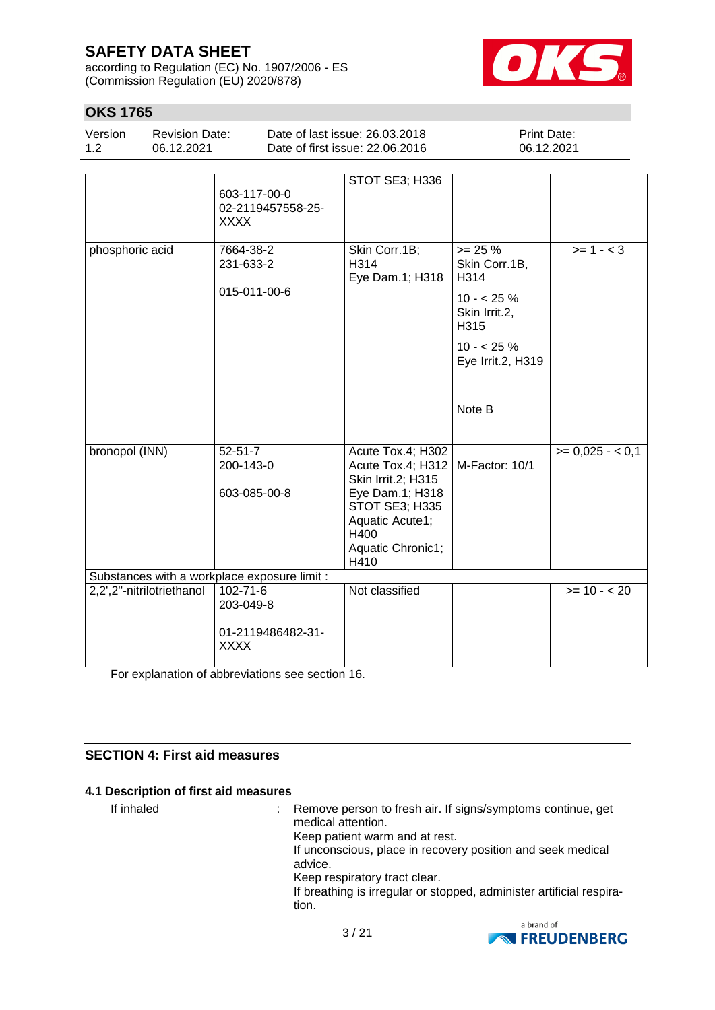according to Regulation (EC) No. 1907/2006 - ES (Commission Regulation (EU) 2020/878)



| <b>OKS 1765</b> |                                     |                            |                                              |                                                                                                                                                                  |                                                                                                                        |                           |
|-----------------|-------------------------------------|----------------------------|----------------------------------------------|------------------------------------------------------------------------------------------------------------------------------------------------------------------|------------------------------------------------------------------------------------------------------------------------|---------------------------|
| Version<br>1.2  | <b>Revision Date:</b><br>06.12.2021 |                            |                                              | Date of last issue: 26.03.2018<br>Date of first issue: 22.06.2016                                                                                                |                                                                                                                        | Print Date:<br>06.12.2021 |
|                 |                                     | XXXX                       | 603-117-00-0<br>02-2119457558-25-            | STOT SE3; H336                                                                                                                                                   |                                                                                                                        |                           |
| phosphoric acid |                                     | 7664-38-2<br>231-633-2     | 015-011-00-6                                 | Skin Corr.1B;<br>H314<br>Eye Dam.1; H318                                                                                                                         | $>= 25 %$<br>Skin Corr.1B,<br>H314<br>$10 - 25%$<br>Skin Irrit.2,<br>H315<br>$10 - 25%$<br>Eye Irrit.2, H319<br>Note B | $>= 1 - 3$                |
| bronopol (INN)  |                                     | $52 - 51 - 7$<br>200-143-0 | 603-085-00-8                                 | Acute Tox.4; H302<br>Acute Tox.4; H312<br>Skin Irrit.2; H315<br>Eye Dam.1; H318<br><b>STOT SE3; H335</b><br>Aquatic Acute1;<br>H400<br>Aquatic Chronic1;<br>H410 | M-Factor: 10/1                                                                                                         | $>= 0,025 - 0,1$          |
|                 |                                     |                            | Substances with a workplace exposure limit : |                                                                                                                                                                  |                                                                                                                        |                           |
|                 | 2,2',2"-nitrilotriethanol           | 102-71-6                   |                                              | Not classified                                                                                                                                                   |                                                                                                                        | $>= 10 - 20$              |

203-049-8 01-2119486482-31- XXXX

For explanation of abbreviations see section 16.

### **SECTION 4: First aid measures**

#### **4.1 Description of first aid measures**

If inhaled : Remove person to fresh air. If signs/symptoms continue, get medical attention. Keep patient warm and at rest. If unconscious, place in recovery position and seek medical advice. Keep respiratory tract clear. If breathing is irregular or stopped, administer artificial respiration.

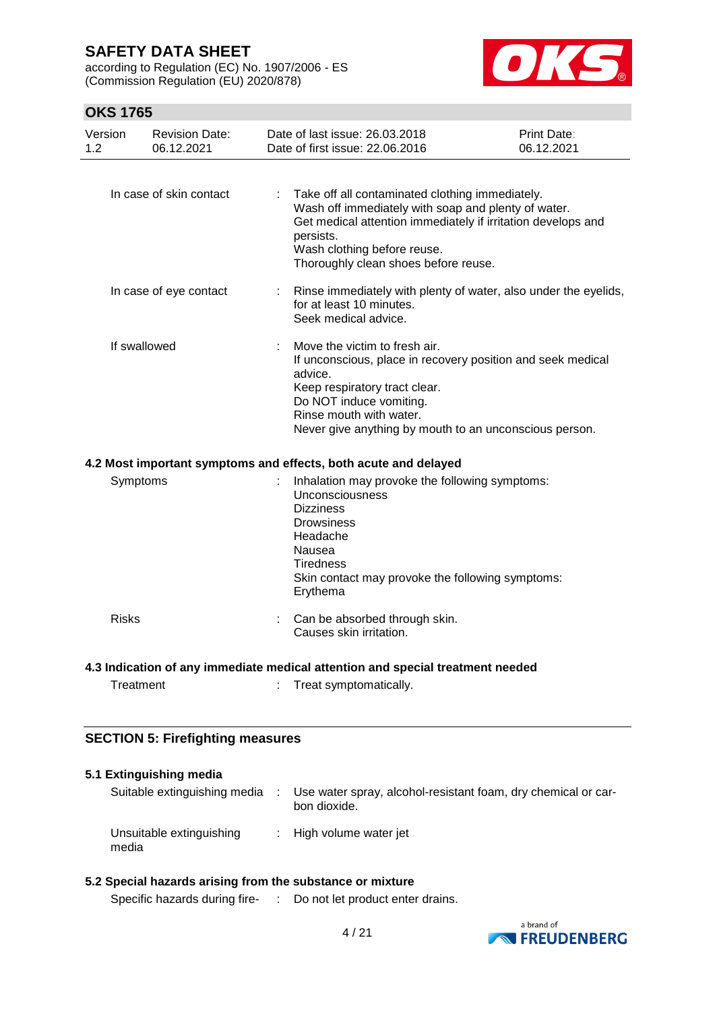according to Regulation (EC) No. 1907/2006 - ES (Commission Regulation (EU) 2020/878)



### **OKS 1765**

| Version<br>1.2 | <b>Revision Date:</b><br>06.12.2021     | Date of last issue: 26,03,2018<br>Date of first issue: 22.06.2016                                                                                                                                                    | Print Date:<br>06.12.2021                                       |
|----------------|-----------------------------------------|----------------------------------------------------------------------------------------------------------------------------------------------------------------------------------------------------------------------|-----------------------------------------------------------------|
|                | In case of skin contact                 | Take off all contaminated clothing immediately.<br>Wash off immediately with soap and plenty of water.<br>persists.<br>Wash clothing before reuse.<br>Thoroughly clean shoes before reuse.                           | Get medical attention immediately if irritation develops and    |
|                | In case of eye contact                  | for at least 10 minutes.<br>Seek medical advice.                                                                                                                                                                     | Rinse immediately with plenty of water, also under the eyelids, |
|                | If swallowed                            | Move the victim to fresh air.<br>advice.<br>Keep respiratory tract clear.<br>Do NOT induce vomiting.<br>Rinse mouth with water.<br>Never give anything by mouth to an unconscious person.                            | If unconscious, place in recovery position and seek medical     |
|                |                                         | 4.2 Most important symptoms and effects, both acute and delayed                                                                                                                                                      |                                                                 |
| Symptoms       |                                         | Inhalation may provoke the following symptoms:<br>Unconsciousness<br><b>Dizziness</b><br><b>Drowsiness</b><br>Headache<br>Nausea<br><b>Tiredness</b><br>Skin contact may provoke the following symptoms:<br>Erythema |                                                                 |
| <b>Risks</b>   |                                         | Can be absorbed through skin.<br>Causes skin irritation.                                                                                                                                                             |                                                                 |
|                |                                         | 4.3 Indication of any immediate medical attention and special treatment needed                                                                                                                                       |                                                                 |
| Treatment      |                                         | Treat symptomatically.                                                                                                                                                                                               |                                                                 |
|                | <b>SECTION 5: Firefighting measures</b> |                                                                                                                                                                                                                      |                                                                 |

#### **5.1 Extinguishing media**

| Suitable extinguishing media      | Use water spray, alcohol-resistant foam, dry chemical or car-<br>bon dioxide. |
|-----------------------------------|-------------------------------------------------------------------------------|
| Unsuitable extinguishing<br>media | : High volume water jet                                                       |

### **5.2 Special hazards arising from the substance or mixture**

Specific hazards during fire- : Do not let product enter drains.

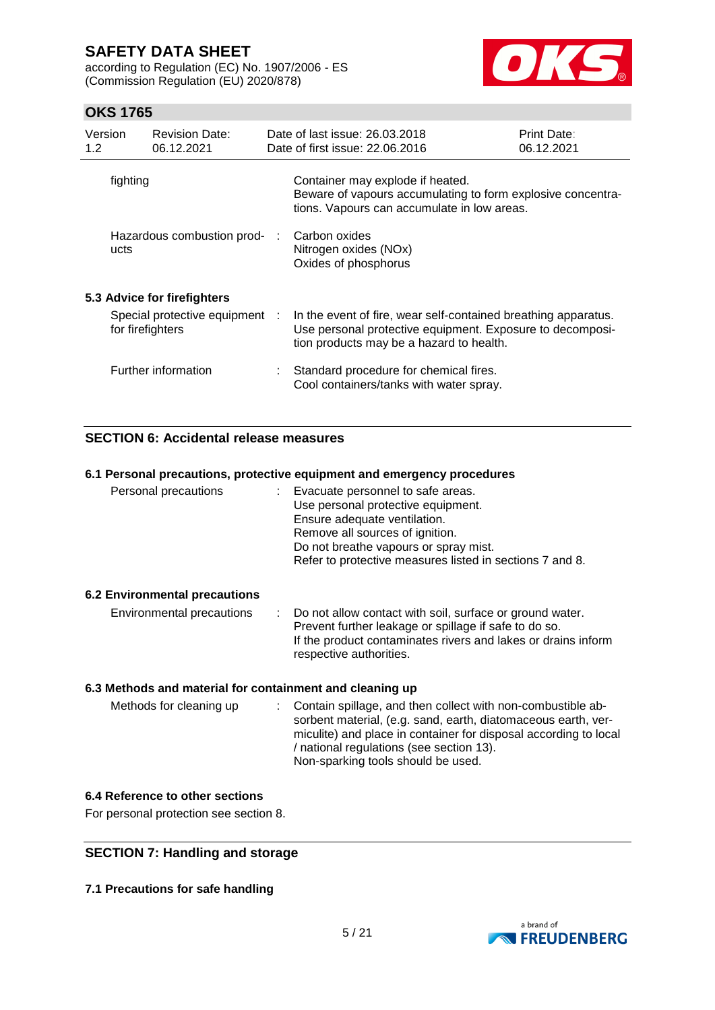according to Regulation (EC) No. 1907/2006 - ES (Commission Regulation (EU) 2020/878)



### **OKS 1765**

| Version<br>1.2 <sub>2</sub> |                  | <b>Revision Date:</b><br>06.12.2021 | Date of last issue: 26,03,2018<br>Date of first issue: 22.06.2016                                                                                                       | <b>Print Date:</b><br>06.12.2021 |
|-----------------------------|------------------|-------------------------------------|-------------------------------------------------------------------------------------------------------------------------------------------------------------------------|----------------------------------|
|                             | fighting         |                                     | Container may explode if heated.<br>Beware of vapours accumulating to form explosive concentra-<br>tions. Vapours can accumulate in low areas.                          |                                  |
|                             | ucts             | Hazardous combustion prod- :        | Carbon oxides<br>Nitrogen oxides (NOx)<br>Oxides of phosphorus                                                                                                          |                                  |
|                             |                  | 5.3 Advice for firefighters         |                                                                                                                                                                         |                                  |
|                             | for firefighters | Special protective equipment :      | In the event of fire, wear self-contained breathing apparatus.<br>Use personal protective equipment. Exposure to decomposi-<br>tion products may be a hazard to health. |                                  |
|                             |                  | Further information                 | Standard procedure for chemical fires.<br>Cool containers/tanks with water spray.                                                                                       |                                  |

### **SECTION 6: Accidental release measures**

#### **6.1 Personal precautions, protective equipment and emergency procedures**

| Personal precautions                 | : Evacuate personnel to safe areas.<br>Use personal protective equipment.<br>Ensure adequate ventilation.<br>Remove all sources of ignition.<br>Do not breathe vapours or spray mist.<br>Refer to protective measures listed in sections 7 and 8. |
|--------------------------------------|---------------------------------------------------------------------------------------------------------------------------------------------------------------------------------------------------------------------------------------------------|
| <b>6.2 Environmental precautions</b> |                                                                                                                                                                                                                                                   |
| Environmental precautions            | Do not allow contact with soil, surface or ground water.<br>Prevent further leakage or spillage if safe to do so.<br>If the product contaminates rivers and lakes or drains inform<br>respective authorities.                                     |

#### **6.3 Methods and material for containment and cleaning up**

| Methods for cleaning up |  | : Contain spillage, and then collect with non-combustible ab-<br>sorbent material, (e.g. sand, earth, diatomaceous earth, ver-<br>miculite) and place in container for disposal according to local<br>/ national regulations (see section 13).<br>Non-sparking tools should be used. |
|-------------------------|--|--------------------------------------------------------------------------------------------------------------------------------------------------------------------------------------------------------------------------------------------------------------------------------------|
|-------------------------|--|--------------------------------------------------------------------------------------------------------------------------------------------------------------------------------------------------------------------------------------------------------------------------------------|

#### **6.4 Reference to other sections**

For personal protection see section 8.

### **SECTION 7: Handling and storage**

**7.1 Precautions for safe handling**

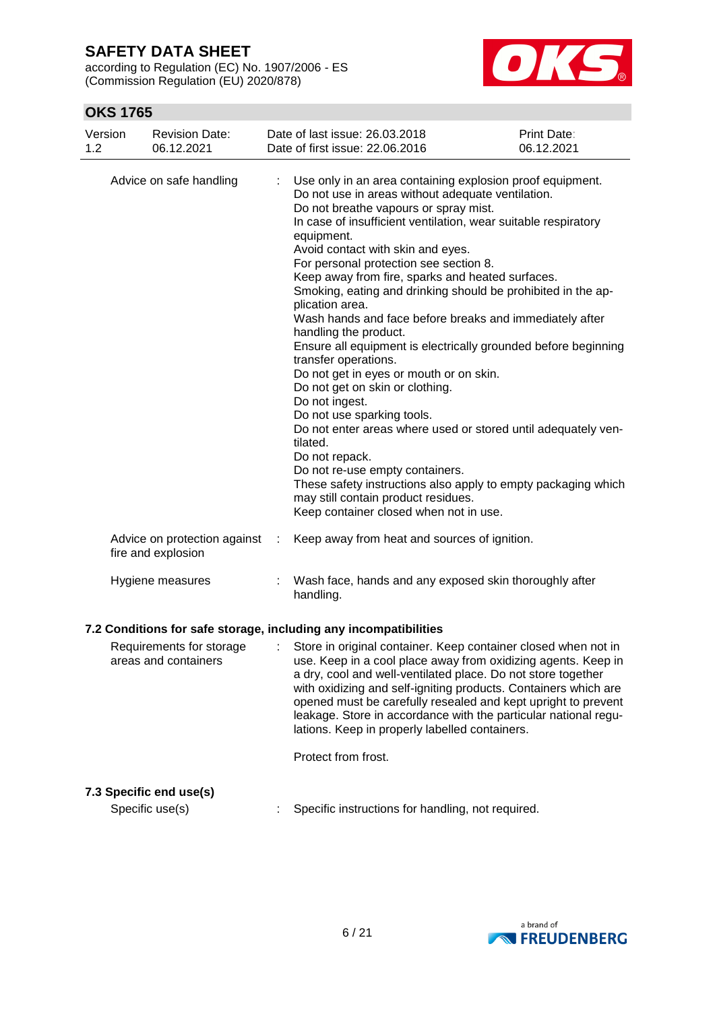according to Regulation (EC) No. 1907/2006 - ES (Commission Regulation (EU) 2020/878)



| Version<br>1.2                                                                                                                                                                                                                                                                                                                                                                                                                                                                                                                                                                                          | <b>Revision Date:</b><br>06.12.2021                |                                                                                    | Date of last issue: 26.03.2018<br>Date of first issue: 22.06.2016                                                                                                                                                                                                                                                                                                                                                                                                                                                                                                                                                                                                                                                                                                        | <b>Print Date:</b><br>06.12.2021                                                                                                                                                                 |
|---------------------------------------------------------------------------------------------------------------------------------------------------------------------------------------------------------------------------------------------------------------------------------------------------------------------------------------------------------------------------------------------------------------------------------------------------------------------------------------------------------------------------------------------------------------------------------------------------------|----------------------------------------------------|------------------------------------------------------------------------------------|--------------------------------------------------------------------------------------------------------------------------------------------------------------------------------------------------------------------------------------------------------------------------------------------------------------------------------------------------------------------------------------------------------------------------------------------------------------------------------------------------------------------------------------------------------------------------------------------------------------------------------------------------------------------------------------------------------------------------------------------------------------------------|--------------------------------------------------------------------------------------------------------------------------------------------------------------------------------------------------|
|                                                                                                                                                                                                                                                                                                                                                                                                                                                                                                                                                                                                         | Advice on safe handling                            | ÷<br>equipment.<br>plication area.<br>Do not ingest.<br>tilated.<br>Do not repack. | Use only in an area containing explosion proof equipment.<br>Do not use in areas without adequate ventilation.<br>Do not breathe vapours or spray mist.<br>In case of insufficient ventilation, wear suitable respiratory<br>Avoid contact with skin and eyes.<br>For personal protection see section 8.<br>Keep away from fire, sparks and heated surfaces.<br>Smoking, eating and drinking should be prohibited in the ap-<br>Wash hands and face before breaks and immediately after<br>handling the product.<br>transfer operations.<br>Do not get in eyes or mouth or on skin.<br>Do not get on skin or clothing.<br>Do not use sparking tools.<br>Do not re-use empty containers.<br>may still contain product residues.<br>Keep container closed when not in use. | Ensure all equipment is electrically grounded before beginning<br>Do not enter areas where used or stored until adequately ven-<br>These safety instructions also apply to empty packaging which |
|                                                                                                                                                                                                                                                                                                                                                                                                                                                                                                                                                                                                         | Advice on protection against<br>fire and explosion | ÷                                                                                  | Keep away from heat and sources of ignition.                                                                                                                                                                                                                                                                                                                                                                                                                                                                                                                                                                                                                                                                                                                             |                                                                                                                                                                                                  |
|                                                                                                                                                                                                                                                                                                                                                                                                                                                                                                                                                                                                         | Hygiene measures                                   | handling.                                                                          | Wash face, hands and any exposed skin thoroughly after                                                                                                                                                                                                                                                                                                                                                                                                                                                                                                                                                                                                                                                                                                                   |                                                                                                                                                                                                  |
| 7.2 Conditions for safe storage, including any incompatibilities<br>Store in original container. Keep container closed when not in<br>Requirements for storage<br>use. Keep in a cool place away from oxidizing agents. Keep in<br>areas and containers<br>a dry, cool and well-ventilated place. Do not store together<br>with oxidizing and self-igniting products. Containers which are<br>opened must be carefully resealed and kept upright to prevent<br>leakage. Store in accordance with the particular national regu-<br>lations. Keep in properly labelled containers.<br>Protect from frost. |                                                    |                                                                                    |                                                                                                                                                                                                                                                                                                                                                                                                                                                                                                                                                                                                                                                                                                                                                                          |                                                                                                                                                                                                  |
|                                                                                                                                                                                                                                                                                                                                                                                                                                                                                                                                                                                                         | 7.3 Specific end use(s)<br>Specific use(s)         |                                                                                    | Specific instructions for handling, not required.                                                                                                                                                                                                                                                                                                                                                                                                                                                                                                                                                                                                                                                                                                                        |                                                                                                                                                                                                  |
|                                                                                                                                                                                                                                                                                                                                                                                                                                                                                                                                                                                                         |                                                    |                                                                                    |                                                                                                                                                                                                                                                                                                                                                                                                                                                                                                                                                                                                                                                                                                                                                                          |                                                                                                                                                                                                  |

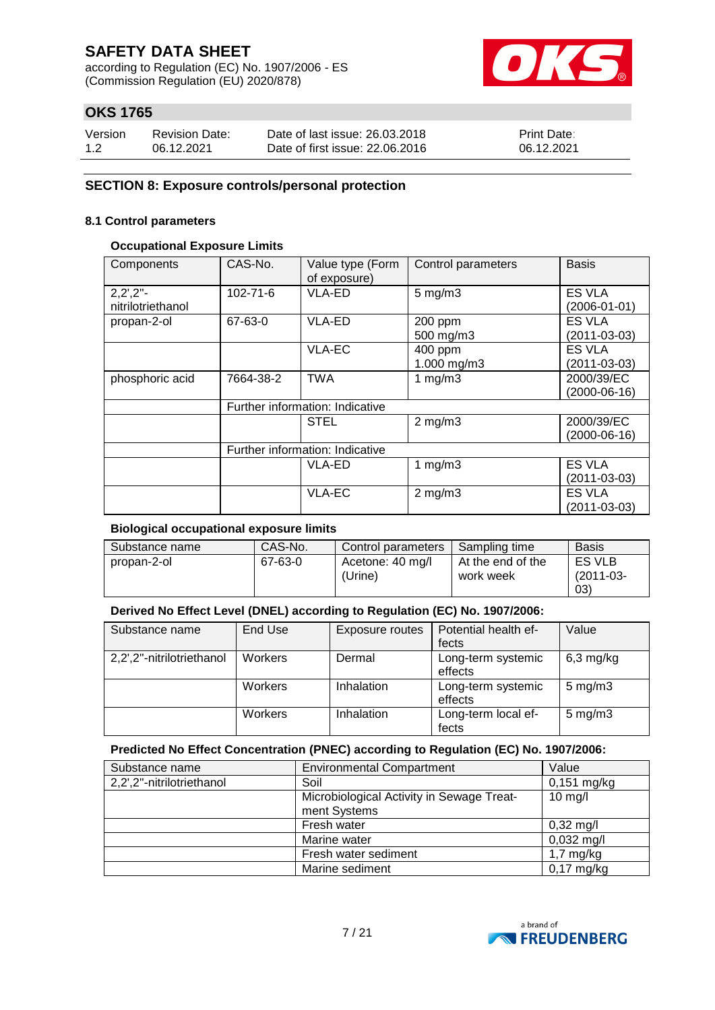according to Regulation (EC) No. 1907/2006 - ES (Commission Regulation (EU) 2020/878)



### **OKS 1765**

| Version | <b>Revision Date:</b> | Date of last issue: 26,03,2018  | <b>Print Date:</b> |
|---------|-----------------------|---------------------------------|--------------------|
| 1.2     | 06.12.2021            | Date of first issue: 22,06,2016 | 06.12.2021         |

#### **SECTION 8: Exposure controls/personal protection**

### **8.1 Control parameters**

#### **Occupational Exposure Limits**

| Components                        | CAS-No.        | Value type (Form<br>of exposure) | Control parameters | <b>Basis</b>       |
|-----------------------------------|----------------|----------------------------------|--------------------|--------------------|
| $2,2^{\prime},2^{\prime\prime}$ - | $102 - 71 - 6$ | <b>VLA-ED</b>                    | $5 \text{ mg/m}$ 3 | ES VLA             |
| nitrilotriethanol                 |                |                                  |                    | $(2006 - 01 - 01)$ |
| propan-2-ol                       | 67-63-0        | VLA-ED                           | 200 ppm            | <b>ES VLA</b>      |
|                                   |                |                                  | 500 mg/m3          | $(2011 - 03 - 03)$ |
|                                   |                | <b>VLA-EC</b>                    | 400 ppm            | <b>ES VLA</b>      |
|                                   |                |                                  | 1.000 mg/m3        | $(2011 - 03 - 03)$ |
| phosphoric acid                   | 7664-38-2      | <b>TWA</b>                       | 1 $mg/m3$          | 2000/39/EC         |
|                                   |                |                                  |                    | $(2000-06-16)$     |
|                                   |                | Further information: Indicative  |                    |                    |
|                                   |                | <b>STEL</b>                      | $2$ mg/m $3$       | 2000/39/EC         |
|                                   |                |                                  |                    | $(2000-06-16)$     |
|                                   |                | Further information: Indicative  |                    |                    |
|                                   |                | VLA-ED                           | 1 $mg/m3$          | <b>ES VLA</b>      |
|                                   |                |                                  |                    | $(2011 - 03 - 03)$ |
|                                   |                | VLA-EC                           | $2$ mg/m $3$       | ES VLA             |
|                                   |                |                                  |                    | $(2011 - 03 - 03)$ |

#### **Biological occupational exposure limits**

| Substance name | CAS-No. | Control parameters          | Sampling time                  | <b>Basis</b>                 |
|----------------|---------|-----------------------------|--------------------------------|------------------------------|
| propan-2-ol    | 67-63-0 | Acetone: 40 mg/l<br>(Urine) | At the end of the<br>work week | ES VLB<br>$(2011-03-$<br>03) |

### **Derived No Effect Level (DNEL) according to Regulation (EC) No. 1907/2006:**

| Substance name            | End Use        | Exposure routes | Potential health ef- | Value              |
|---------------------------|----------------|-----------------|----------------------|--------------------|
|                           |                |                 | fects                |                    |
| 2,2',2"-nitrilotriethanol | Workers        | Dermal          | Long-term systemic   | $6,3$ mg/kg        |
|                           |                |                 | effects              |                    |
|                           | <b>Workers</b> | Inhalation      | Long-term systemic   | $5 \text{ mg/m}$ 3 |
|                           |                |                 | effects              |                    |
|                           | <b>Workers</b> | Inhalation      | Long-term local ef-  | $5 \text{ mg/m}$ 3 |
|                           |                |                 | fects                |                    |

#### **Predicted No Effect Concentration (PNEC) according to Regulation (EC) No. 1907/2006:**

| Substance name            | <b>Environmental Compartment</b>                          | Value                |
|---------------------------|-----------------------------------------------------------|----------------------|
| 2,2',2"-nitrilotriethanol | Soil                                                      | $0,151$ mg/kg        |
|                           | Microbiological Activity in Sewage Treat-<br>ment Systems | $10$ mg/l            |
|                           | Fresh water                                               | $0,32 \text{ mg/l}$  |
|                           | Marine water                                              | $0,032 \text{ mg/l}$ |
|                           | Fresh water sediment                                      | $1,7$ mg/kg          |
|                           | Marine sediment                                           | $0,17$ mg/kg         |

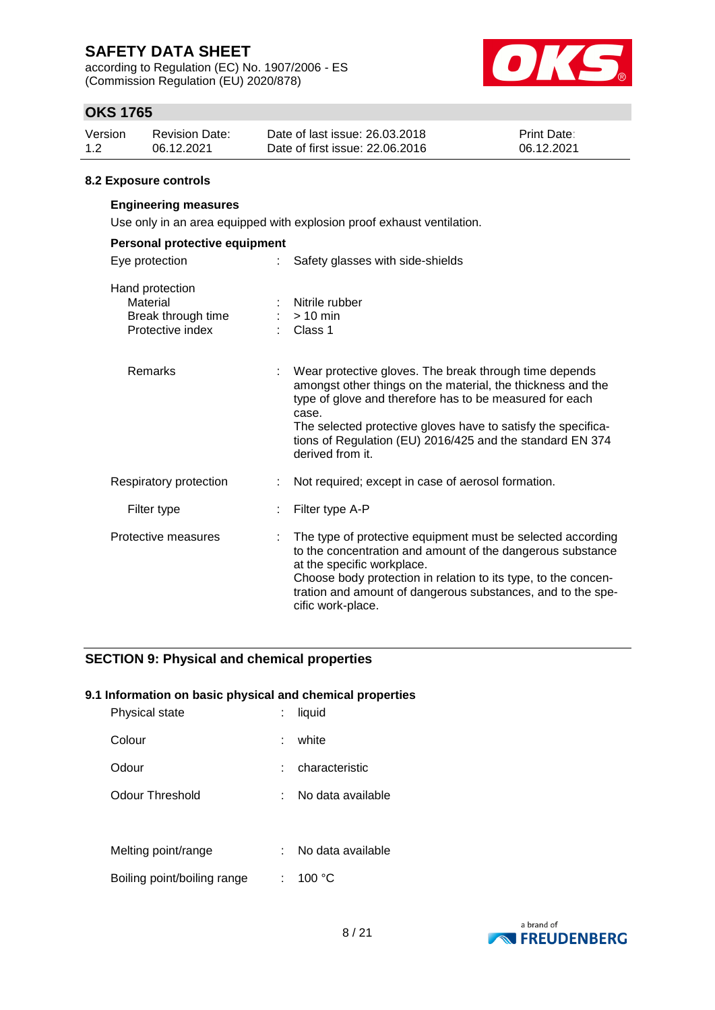according to Regulation (EC) No. 1907/2006 - ES (Commission Regulation (EU) 2020/878)



### **OKS 1765**

| Version | Revision Date: | Date of last issue: 26,03,2018  | <b>Print Date:</b> |
|---------|----------------|---------------------------------|--------------------|
| 1.2     | 06.12.2021     | Date of first issue: 22,06,2016 | 06.12.2021         |

#### **8.2 Exposure controls**

### **Engineering measures**

Use only in an area equipped with explosion proof exhaust ventilation.

| Personal protective equipment                                         |                                                                                                                                                                                                                                                                                                                                             |  |  |  |  |
|-----------------------------------------------------------------------|---------------------------------------------------------------------------------------------------------------------------------------------------------------------------------------------------------------------------------------------------------------------------------------------------------------------------------------------|--|--|--|--|
| Eye protection<br>t.                                                  | Safety glasses with side-shields                                                                                                                                                                                                                                                                                                            |  |  |  |  |
| Hand protection<br>Material<br>Break through time<br>Protective index | : Nitrile rubber<br>$:$ > 10 min<br>$\therefore$ Class 1                                                                                                                                                                                                                                                                                    |  |  |  |  |
| Remarks                                                               | Wear protective gloves. The break through time depends<br>amongst other things on the material, the thickness and the<br>type of glove and therefore has to be measured for each<br>case.<br>The selected protective gloves have to satisfy the specifica-<br>tions of Regulation (EU) 2016/425 and the standard EN 374<br>derived from it. |  |  |  |  |
| Respiratory protection                                                | Not required; except in case of aerosol formation.                                                                                                                                                                                                                                                                                          |  |  |  |  |
| Filter type                                                           | Filter type A-P                                                                                                                                                                                                                                                                                                                             |  |  |  |  |
| Protective measures                                                   | The type of protective equipment must be selected according<br>to the concentration and amount of the dangerous substance<br>at the specific workplace.<br>Choose body protection in relation to its type, to the concen-<br>tration and amount of dangerous substances, and to the spe-<br>cific work-place.                               |  |  |  |  |

### **SECTION 9: Physical and chemical properties**

#### **9.1 Information on basic physical and chemical properties**

| Physical state              | liquid            |
|-----------------------------|-------------------|
| Colour                      | white             |
| Odour                       | characteristic    |
| Odour Threshold             | No data available |
|                             |                   |
| Melting point/range         | No data available |
| Boiling point/boiling range | 100 °C            |

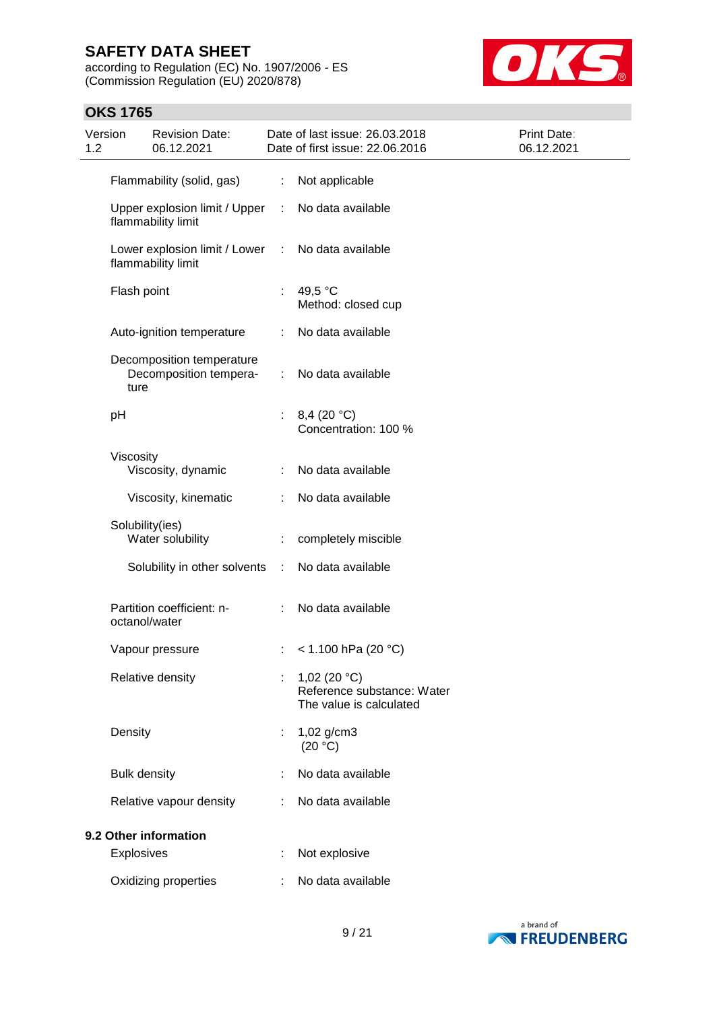**OKS 1765**

according to Regulation (EC) No. 1907/2006 - ES (Commission Regulation (EU) 2020/878)



### Version 1.2 Revision Date: 06.12.2021 Date of last issue: 26.03.2018 Date of first issue: 22.06.2016 Print Date: 06.12.2021 Flammability (solid, gas) : Not applicable Upper explosion limit / Upper flammability limit : No data available Lower explosion limit / Lower : flammability limit No data available Flash point : 49,5 °C Method: closed cup Auto-ignition temperature : No data available Decomposition temperature Decomposition temperature : No data available pH : 8,4 (20 °C) Concentration: 100 % Viscosity Viscosity, dynamic : No data available Viscosity, kinematic : No data available Solubility(ies) Water solubility : completely miscible Solubility in other solvents : No data available Partition coefficient: noctanol/water : No data available Vapour pressure : < 1.100 hPa (20 °C) Relative density : 1,02 (20 °C) Reference substance: Water The value is calculated Density : 1,02 g/cm3  $(20 °C)$ Bulk density **in the case of the State State State** Sultaneously in No data available Relative vapour density : No data available **9.2 Other information** Explosives : Not explosive Oxidizing properties : No data available

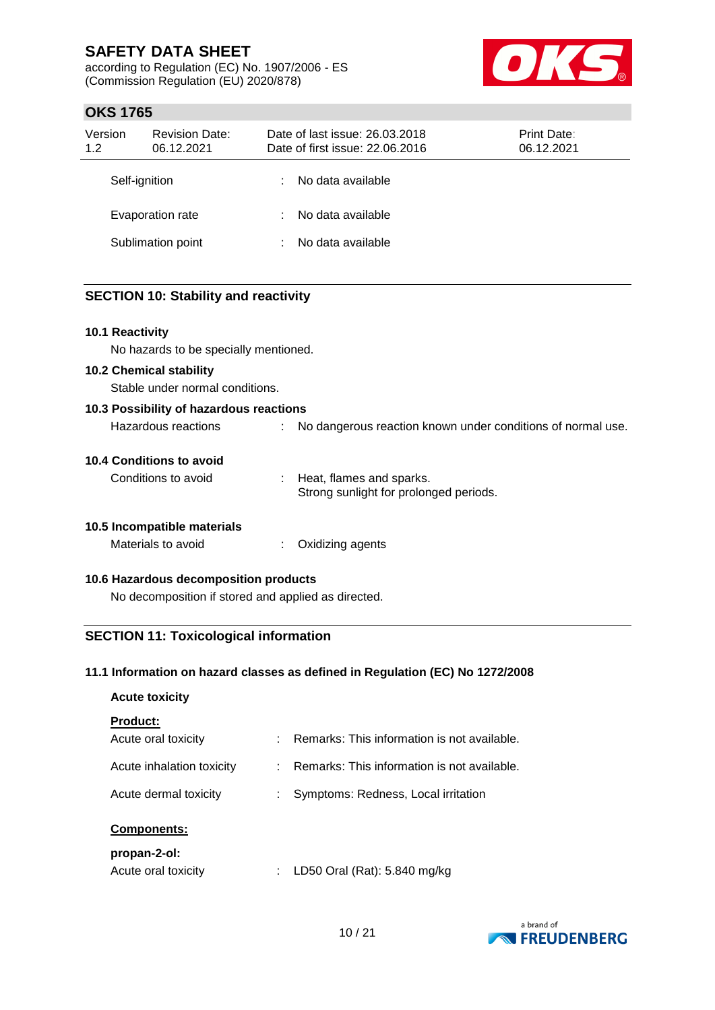according to Regulation (EC) No. 1907/2006 - ES (Commission Regulation (EU) 2020/878)



### **OKS 1765**

| Version<br>1.2 | <b>Revision Date:</b><br>06.12.2021 |   | Date of last issue: 26.03.2018<br><b>Print Date:</b><br>Date of first issue: 22.06.2016<br>06.12.2021 |  |  |  |
|----------------|-------------------------------------|---|-------------------------------------------------------------------------------------------------------|--|--|--|
| Self-ignition  |                                     |   | No data available                                                                                     |  |  |  |
|                | Evaporation rate                    |   | No data available                                                                                     |  |  |  |
|                | Sublimation point                   | ÷ | No data available                                                                                     |  |  |  |

### **SECTION 10: Stability and reactivity**

#### **10.1 Reactivity**

No hazards to be specially mentioned.

#### **10.2 Chemical stability**

Stable under normal conditions.

| 10.3 Possibility of hazardous reactions |                                                             |
|-----------------------------------------|-------------------------------------------------------------|
| Hazardous reactions                     | No dangerous reaction known under conditions of normal use. |

#### **10.4 Conditions to avoid**

Conditions to avoid : Heat, flames and sparks. Strong sunlight for prolonged periods.

#### **10.5 Incompatible materials**

Materials to avoid : Oxidizing agents

#### **10.6 Hazardous decomposition products**

No decomposition if stored and applied as directed.

### **SECTION 11: Toxicological information**

#### **11.1 Information on hazard classes as defined in Regulation (EC) No 1272/2008**

## **Acute toxicity Product:**

| Acute oral toxicity       | : Remarks: This information is not available. |
|---------------------------|-----------------------------------------------|
| Acute inhalation toxicity | : Remarks: This information is not available. |
| Acute dermal toxicity     | : Symptoms: Redness, Local irritation         |
|                           |                                               |

#### **Components:**

#### **propan-2-ol:**

| Acute oral toxicity |  | LD50 Oral (Rat): 5.840 mg/kg |
|---------------------|--|------------------------------|
|---------------------|--|------------------------------|

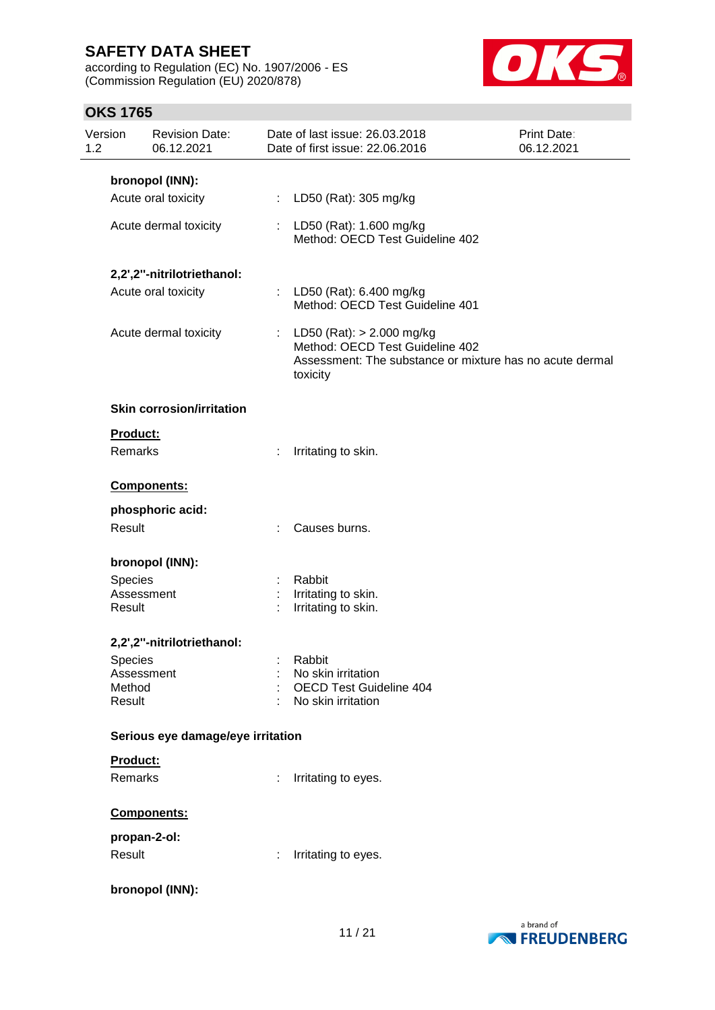according to Regulation (EC) No. 1907/2006 - ES (Commission Regulation (EU) 2020/878)



| Version<br>1.2 | <b>Revision Date:</b><br>06.12.2021 |   | Date of last issue: 26.03.2018<br>Date of first issue: 22.06.2016                                                                        | <b>Print Date:</b><br>06.12.2021 |
|----------------|-------------------------------------|---|------------------------------------------------------------------------------------------------------------------------------------------|----------------------------------|
|                | bronopol (INN):                     |   |                                                                                                                                          |                                  |
|                | Acute oral toxicity                 |   | : LD50 (Rat): 305 mg/kg                                                                                                                  |                                  |
|                | Acute dermal toxicity               |   | : LD50 (Rat): 1.600 mg/kg<br>Method: OECD Test Guideline 402                                                                             |                                  |
|                | 2,2',2"-nitrilotriethanol:          |   |                                                                                                                                          |                                  |
|                | Acute oral toxicity                 |   | : LD50 (Rat): 6.400 mg/kg<br>Method: OECD Test Guideline 401                                                                             |                                  |
|                | Acute dermal toxicity               |   | : LD50 (Rat): $> 2.000$ mg/kg<br>Method: OECD Test Guideline 402<br>Assessment: The substance or mixture has no acute dermal<br>toxicity |                                  |
|                | <b>Skin corrosion/irritation</b>    |   |                                                                                                                                          |                                  |
| Product:       |                                     |   |                                                                                                                                          |                                  |
| Remarks        |                                     | ÷ | Irritating to skin.                                                                                                                      |                                  |
|                | Components:                         |   |                                                                                                                                          |                                  |
|                | phosphoric acid:                    |   |                                                                                                                                          |                                  |
| Result         |                                     |   | : Causes burns.                                                                                                                          |                                  |
|                | bronopol (INN):                     |   |                                                                                                                                          |                                  |
| Species        |                                     |   | Rabbit                                                                                                                                   |                                  |
| Result         | Assessment                          | ÷ | Irritating to skin.<br>Irritating to skin.                                                                                               |                                  |
|                |                                     |   |                                                                                                                                          |                                  |
|                | 2,2',2"-nitrilotriethanol:          |   |                                                                                                                                          |                                  |
| Species        |                                     |   | Rabbit                                                                                                                                   |                                  |
| Method         | Assessment                          |   | No skin irritation<br><b>OECD Test Guideline 404</b>                                                                                     |                                  |
| Result         |                                     |   | No skin irritation                                                                                                                       |                                  |
|                | Serious eye damage/eye irritation   |   |                                                                                                                                          |                                  |
| Product:       |                                     |   |                                                                                                                                          |                                  |
| Remarks        |                                     | ÷ | Irritating to eyes.                                                                                                                      |                                  |
|                | Components:                         |   |                                                                                                                                          |                                  |
|                | propan-2-ol:                        |   |                                                                                                                                          |                                  |
| Result         |                                     |   | Irritating to eyes.                                                                                                                      |                                  |
|                | bronopol (INN):                     |   |                                                                                                                                          |                                  |

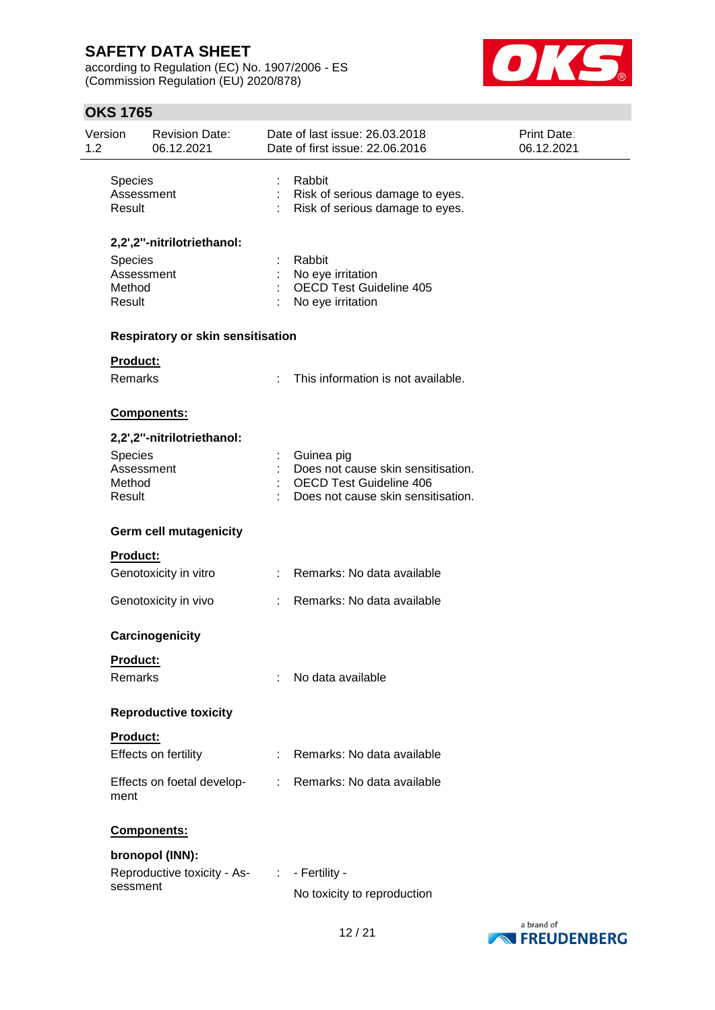according to Regulation (EC) No. 1907/2006 - ES (Commission Regulation (EU) 2020/878)



| Version<br>1.2 |                                           | <b>Revision Date:</b><br>06.12.2021 |   | Date of last issue: 26.03.2018<br>Date of first issue: 22.06.2016                                                        | <b>Print Date:</b><br>06.12.2021 |
|----------------|-------------------------------------------|-------------------------------------|---|--------------------------------------------------------------------------------------------------------------------------|----------------------------------|
|                | Species<br>Assessment<br>Result           |                                     |   | Rabbit<br>Risk of serious damage to eyes.<br>Risk of serious damage to eyes.                                             |                                  |
|                |                                           | 2,2',2"-nitrilotriethanol:          |   |                                                                                                                          |                                  |
|                | Species<br>Assessment<br>Method<br>Result |                                     |   | Rabbit<br>No eye irritation<br><b>OECD Test Guideline 405</b><br>No eye irritation                                       |                                  |
|                |                                           | Respiratory or skin sensitisation   |   |                                                                                                                          |                                  |
|                | Product:                                  |                                     |   |                                                                                                                          |                                  |
|                | Remarks                                   |                                     | ÷ | This information is not available.                                                                                       |                                  |
|                |                                           | <b>Components:</b>                  |   |                                                                                                                          |                                  |
|                |                                           | 2,2',2"-nitrilotriethanol:          |   |                                                                                                                          |                                  |
|                | Species<br>Assessment<br>Method<br>Result |                                     |   | Guinea pig<br>Does not cause skin sensitisation.<br><b>OECD Test Guideline 406</b><br>Does not cause skin sensitisation. |                                  |
|                |                                           | Germ cell mutagenicity              |   |                                                                                                                          |                                  |
|                | Product:                                  |                                     |   |                                                                                                                          |                                  |
|                |                                           | Genotoxicity in vitro               | ÷ | Remarks: No data available                                                                                               |                                  |
|                |                                           | Genotoxicity in vivo                |   | Remarks: No data available                                                                                               |                                  |
|                |                                           | Carcinogenicity                     |   |                                                                                                                          |                                  |
|                | Product:                                  |                                     |   |                                                                                                                          |                                  |
|                | Remarks                                   |                                     |   | No data available                                                                                                        |                                  |
|                |                                           | <b>Reproductive toxicity</b>        |   |                                                                                                                          |                                  |
|                | Product:                                  |                                     |   |                                                                                                                          |                                  |
|                |                                           | Effects on fertility                |   | Remarks: No data available                                                                                               |                                  |
|                | ment                                      | Effects on foetal develop-          | ÷ | Remarks: No data available                                                                                               |                                  |
|                |                                           | Components:                         |   |                                                                                                                          |                                  |
|                |                                           | bronopol (INN):                     |   |                                                                                                                          |                                  |
|                | sessment                                  | Reproductive toxicity - As-         | ÷ | - Fertility -                                                                                                            |                                  |
|                |                                           |                                     |   | No toxicity to reproduction                                                                                              |                                  |

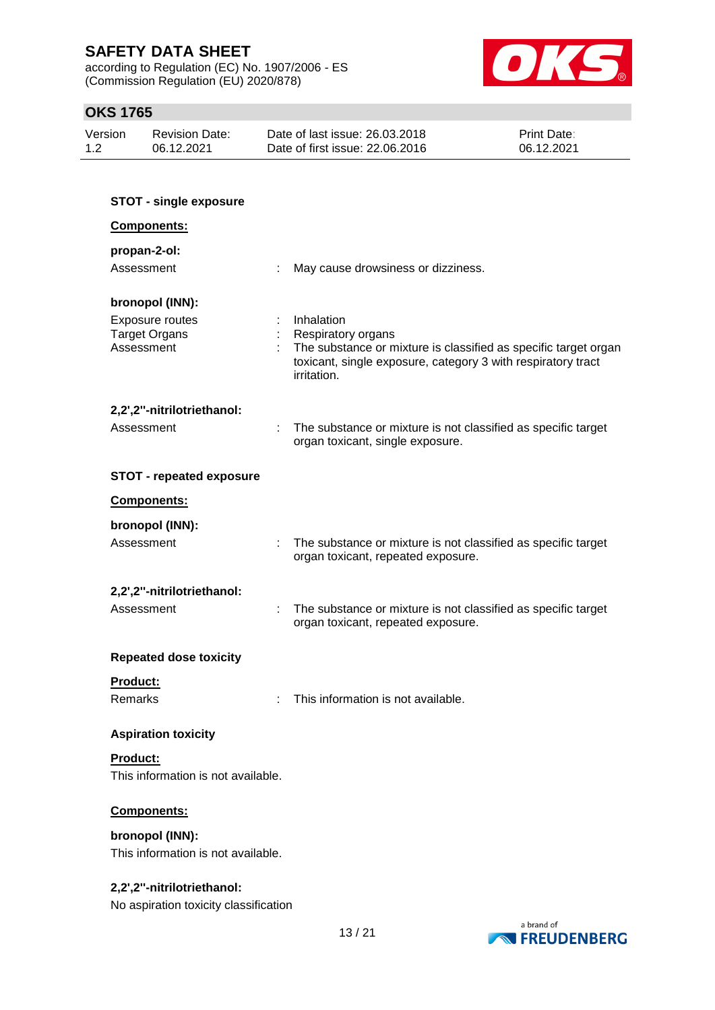according to Regulation (EC) No. 1907/2006 - ES (Commission Regulation (EU) 2020/878)



| Version | Revision Date: | Date of last issue: 26.03.2018  | <b>Print Date:</b> |
|---------|----------------|---------------------------------|--------------------|
| 1.2     | 06.12.2021     | Date of first issue: 22.06.2016 | 06.12.2021         |

| <b>STOT - single exposure</b>                                |                                                                                                                                                                                    |  |  |  |
|--------------------------------------------------------------|------------------------------------------------------------------------------------------------------------------------------------------------------------------------------------|--|--|--|
| <b>Components:</b>                                           |                                                                                                                                                                                    |  |  |  |
| propan-2-ol:                                                 |                                                                                                                                                                                    |  |  |  |
| Assessment                                                   | May cause drowsiness or dizziness.<br>÷                                                                                                                                            |  |  |  |
| bronopol (INN):                                              |                                                                                                                                                                                    |  |  |  |
| <b>Exposure routes</b><br><b>Target Organs</b><br>Assessment | Inhalation<br>Respiratory organs<br>The substance or mixture is classified as specific target organ<br>toxicant, single exposure, category 3 with respiratory tract<br>irritation. |  |  |  |
| 2,2',2"-nitrilotriethanol:                                   |                                                                                                                                                                                    |  |  |  |
| Assessment                                                   | The substance or mixture is not classified as specific target<br>organ toxicant, single exposure.                                                                                  |  |  |  |
| <b>STOT - repeated exposure</b>                              |                                                                                                                                                                                    |  |  |  |
| <b>Components:</b>                                           |                                                                                                                                                                                    |  |  |  |
| bronopol (INN):                                              |                                                                                                                                                                                    |  |  |  |
| Assessment                                                   | $\pm$<br>The substance or mixture is not classified as specific target<br>organ toxicant, repeated exposure.                                                                       |  |  |  |
| 2,2',2"-nitrilotriethanol:                                   |                                                                                                                                                                                    |  |  |  |
| Assessment                                                   | The substance or mixture is not classified as specific target<br>organ toxicant, repeated exposure.                                                                                |  |  |  |
| <b>Repeated dose toxicity</b>                                |                                                                                                                                                                                    |  |  |  |
| Product:                                                     |                                                                                                                                                                                    |  |  |  |
| Remarks                                                      | This information is not available.                                                                                                                                                 |  |  |  |
| <b>Aspiration toxicity</b>                                   |                                                                                                                                                                                    |  |  |  |
| Product:                                                     |                                                                                                                                                                                    |  |  |  |
| This information is not available.                           |                                                                                                                                                                                    |  |  |  |
| Components:                                                  |                                                                                                                                                                                    |  |  |  |
| bronopol (INN):                                              |                                                                                                                                                                                    |  |  |  |
| This information is not available.                           |                                                                                                                                                                                    |  |  |  |
| 2,2',2"-nitrilotriethanol:                                   |                                                                                                                                                                                    |  |  |  |
| No aspiration toxicity classification                        |                                                                                                                                                                                    |  |  |  |

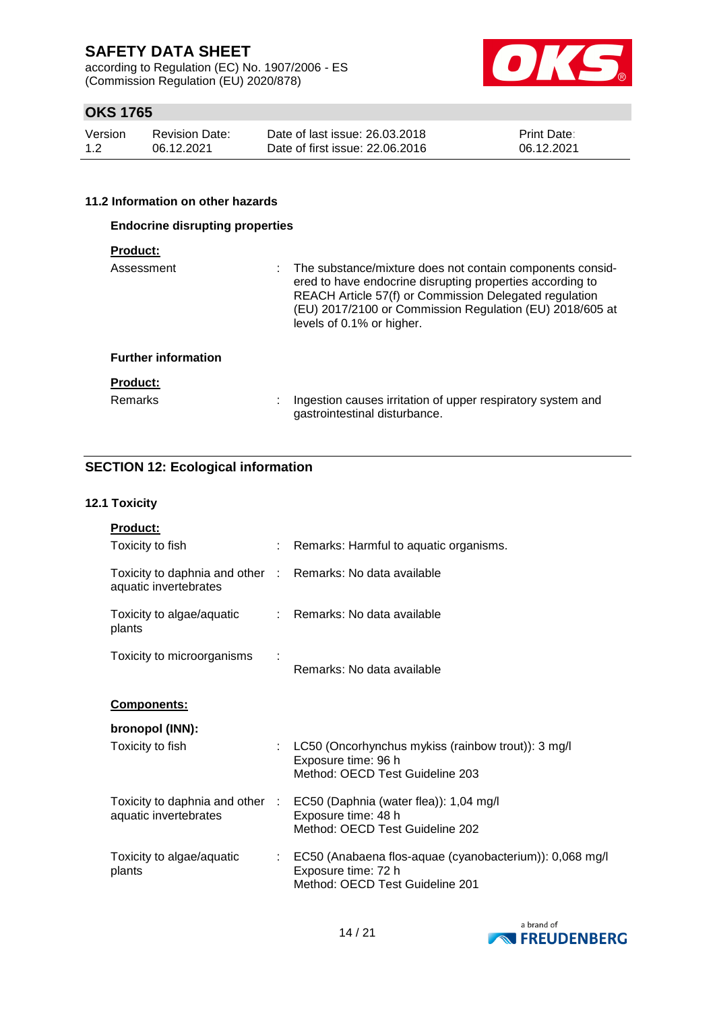according to Regulation (EC) No. 1907/2006 - ES (Commission Regulation (EU) 2020/878)



### **OKS 1765**

| Version | <b>Revision Date:</b> | Date of last issue: 26,03,2018  | <b>Print Date:</b> |
|---------|-----------------------|---------------------------------|--------------------|
| 1.2     | 06.12.2021            | Date of first issue: 22,06,2016 | 06.12.2021         |

#### **11.2 Information on other hazards**

| <b>Endocrine disrupting properties</b> |                                                                                                                                                                                                                                                                             |  |  |  |
|----------------------------------------|-----------------------------------------------------------------------------------------------------------------------------------------------------------------------------------------------------------------------------------------------------------------------------|--|--|--|
| <b>Product:</b>                        |                                                                                                                                                                                                                                                                             |  |  |  |
| Assessment                             | : The substance/mixture does not contain components consid-<br>ered to have endocrine disrupting properties according to<br>REACH Article 57(f) or Commission Delegated regulation<br>(EU) 2017/2100 or Commission Regulation (EU) 2018/605 at<br>levels of 0.1% or higher. |  |  |  |
| <b>Further information</b>             |                                                                                                                                                                                                                                                                             |  |  |  |
| <b>Product:</b><br><b>Remarks</b>      | Ingestion causes irritation of upper respiratory system and<br>÷<br>gastrointestinal disturbance.                                                                                                                                                                           |  |  |  |

### **SECTION 12: Ecological information**

#### **12.1 Toxicity**

| <b>Product:</b>                                          |      |                                                                                                                   |
|----------------------------------------------------------|------|-------------------------------------------------------------------------------------------------------------------|
| Toxicity to fish                                         |      | Remarks: Harmful to aquatic organisms.                                                                            |
| Toxicity to daphnia and other :<br>aquatic invertebrates |      | Remarks: No data available                                                                                        |
| Toxicity to algae/aquatic<br>plants                      |      | : Remarks: No data available                                                                                      |
| Toxicity to microorganisms                               |      | Remarks: No data available                                                                                        |
| <u>Components:</u>                                       |      |                                                                                                                   |
| bronopol (INN):                                          |      |                                                                                                                   |
| Toxicity to fish                                         | ÷.   | LC50 (Oncorhynchus mykiss (rainbow trout)): 3 mg/l<br>Exposure time: 96 h<br>Method: OECD Test Guideline 203      |
| Toxicity to daphnia and other<br>aquatic invertebrates   | - 11 | EC50 (Daphnia (water flea)): 1,04 mg/l<br>Exposure time: 48 h<br>Method: OECD Test Guideline 202                  |
| Toxicity to algae/aquatic<br>plants                      |      | EC50 (Anabaena flos-aquae (cyanobacterium)): 0,068 mg/l<br>Exposure time: 72 h<br>Method: OECD Test Guideline 201 |

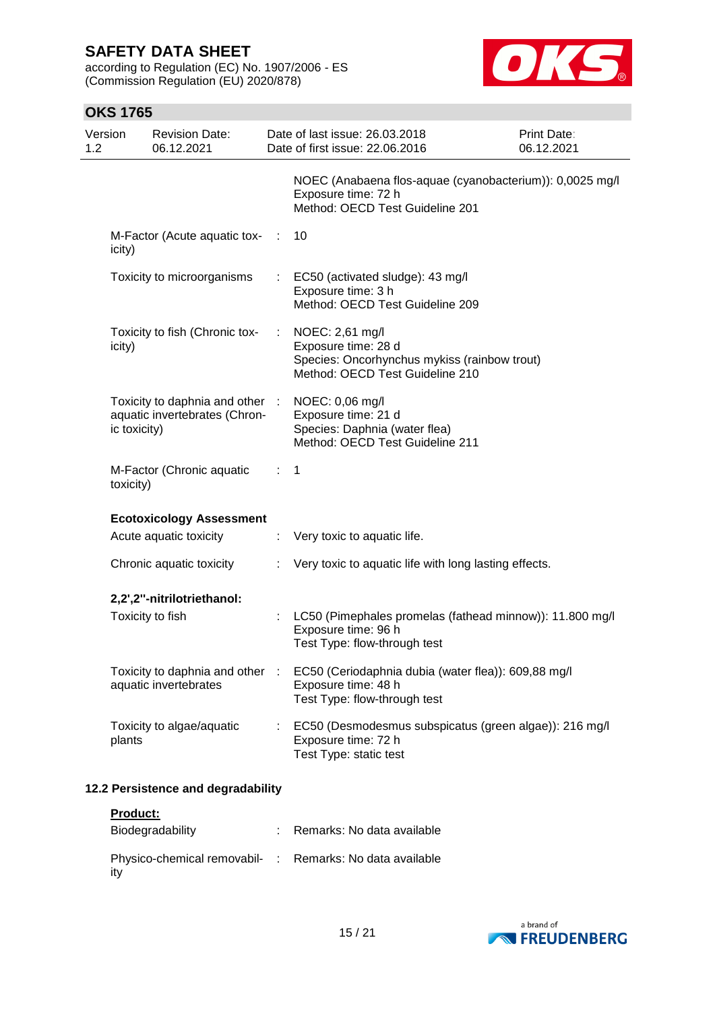according to Regulation (EC) No. 1907/2006 - ES (Commission Regulation (EU) 2020/878)



| Version<br><b>Revision Date:</b><br>1.2<br>06.12.2021                            |                               | Date of last issue: 26.03.2018<br>Date of first issue: 22.06.2016                                                         | Print Date:<br>06.12.2021 |
|----------------------------------------------------------------------------------|-------------------------------|---------------------------------------------------------------------------------------------------------------------------|---------------------------|
|                                                                                  |                               | NOEC (Anabaena flos-aquae (cyanobacterium)): 0,0025 mg/l<br>Exposure time: 72 h<br>Method: OECD Test Guideline 201        |                           |
| M-Factor (Acute aquatic tox- :<br>icity)                                         |                               | 10                                                                                                                        |                           |
| Toxicity to microorganisms                                                       |                               | : EC50 (activated sludge): 43 mg/l<br>Exposure time: 3 h<br>Method: OECD Test Guideline 209                               |                           |
| Toxicity to fish (Chronic tox-<br>icity)                                         | $\mathcal{I}^{\mathcal{I}}$ . | NOEC: 2,61 mg/l<br>Exposure time: 28 d<br>Species: Oncorhynchus mykiss (rainbow trout)<br>Method: OECD Test Guideline 210 |                           |
| Toxicity to daphnia and other :<br>aquatic invertebrates (Chron-<br>ic toxicity) |                               | NOEC: 0,06 mg/l<br>Exposure time: 21 d<br>Species: Daphnia (water flea)<br>Method: OECD Test Guideline 211                |                           |
| M-Factor (Chronic aquatic<br>toxicity)                                           | $\mathcal{L}^{\text{max}}$    | 1                                                                                                                         |                           |
| <b>Ecotoxicology Assessment</b>                                                  |                               |                                                                                                                           |                           |
| Acute aquatic toxicity                                                           |                               | : Very toxic to aquatic life.                                                                                             |                           |
| Chronic aquatic toxicity                                                         |                               | Very toxic to aquatic life with long lasting effects.                                                                     |                           |
| 2,2',2"-nitrilotriethanol:                                                       |                               |                                                                                                                           |                           |
| Toxicity to fish                                                                 |                               | LC50 (Pimephales promelas (fathead minnow)): 11.800 mg/l<br>Exposure time: 96 h<br>Test Type: flow-through test           |                           |
| Toxicity to daphnia and other<br>aquatic invertebrates                           |                               | EC50 (Ceriodaphnia dubia (water flea)): 609,88 mg/l<br>Exposure time: 48 h<br>Test Type: flow-through test                |                           |
| Toxicity to algae/aquatic<br>plants                                              |                               | EC50 (Desmodesmus subspicatus (green algae)): 216 mg/l<br>Exposure time: 72 h<br>Test Type: static test                   |                           |
| 12.2 Persistence and degradability                                               |                               |                                                                                                                           |                           |
| Product:                                                                         |                               |                                                                                                                           |                           |

| Biodegradability                                                | Remarks: No data available |
|-----------------------------------------------------------------|----------------------------|
| Physico-chemical removabil- : Remarks: No data available<br>itv |                            |

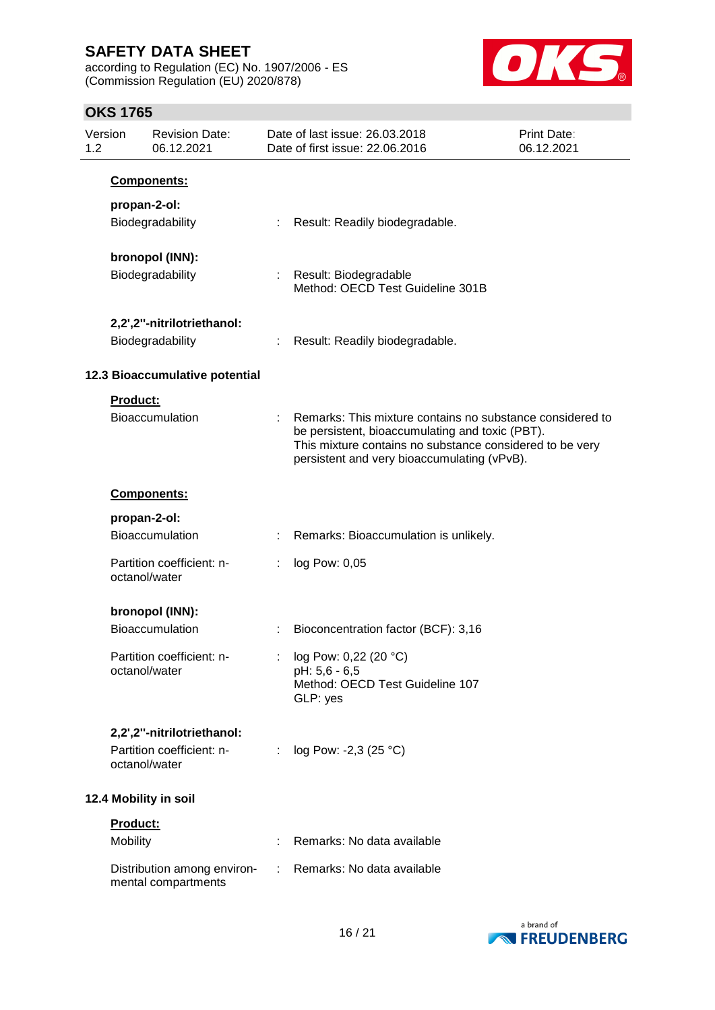according to Regulation (EC) No. 1907/2006 - ES (Commission Regulation (EU) 2020/878)



| Version<br>1.2 |                       | <b>Revision Date:</b><br>06.12.2021                |   | Date of last issue: 26.03.2018<br>Date of first issue: 22.06.2016                                                                                                                                                       | Print Date:<br>06.12.2021 |
|----------------|-----------------------|----------------------------------------------------|---|-------------------------------------------------------------------------------------------------------------------------------------------------------------------------------------------------------------------------|---------------------------|
|                |                       | <b>Components:</b>                                 |   |                                                                                                                                                                                                                         |                           |
|                | propan-2-ol:          |                                                    |   |                                                                                                                                                                                                                         |                           |
|                |                       | Biodegradability                                   |   | Result: Readily biodegradable.                                                                                                                                                                                          |                           |
|                |                       | bronopol (INN):                                    |   |                                                                                                                                                                                                                         |                           |
|                |                       | Biodegradability                                   |   | : Result: Biodegradable<br>Method: OECD Test Guideline 301B                                                                                                                                                             |                           |
|                |                       | 2,2',2"-nitrilotriethanol:                         |   |                                                                                                                                                                                                                         |                           |
|                |                       | Biodegradability                                   |   | Result: Readily biodegradable.                                                                                                                                                                                          |                           |
|                |                       |                                                    |   |                                                                                                                                                                                                                         |                           |
|                |                       | 12.3 Bioaccumulative potential                     |   |                                                                                                                                                                                                                         |                           |
|                | Product:              |                                                    |   |                                                                                                                                                                                                                         |                           |
|                |                       | Bioaccumulation                                    |   | Remarks: This mixture contains no substance considered to<br>be persistent, bioaccumulating and toxic (PBT).<br>This mixture contains no substance considered to be very<br>persistent and very bioaccumulating (vPvB). |                           |
|                |                       | Components:                                        |   |                                                                                                                                                                                                                         |                           |
|                | propan-2-ol:          |                                                    |   |                                                                                                                                                                                                                         |                           |
|                |                       | Bioaccumulation                                    |   | Remarks: Bioaccumulation is unlikely.                                                                                                                                                                                   |                           |
|                | octanol/water         | Partition coefficient: n-                          |   | log Pow: 0,05                                                                                                                                                                                                           |                           |
|                |                       | bronopol (INN):                                    |   |                                                                                                                                                                                                                         |                           |
|                |                       | Bioaccumulation                                    |   | Bioconcentration factor (BCF): 3,16                                                                                                                                                                                     |                           |
|                |                       |                                                    |   |                                                                                                                                                                                                                         |                           |
|                | octanol/water         | Partition coefficient: n-                          |   | log Pow: 0,22 (20 °C)<br>pH: 5,6 - 6,5<br>Method: OECD Test Guideline 107<br>GLP: yes                                                                                                                                   |                           |
|                |                       | 2,2',2"-nitrilotriethanol:                         |   |                                                                                                                                                                                                                         |                           |
|                | octanol/water         | Partition coefficient: n-                          | ÷ | log Pow: -2,3 (25 °C)                                                                                                                                                                                                   |                           |
|                | 12.4 Mobility in soil |                                                    |   |                                                                                                                                                                                                                         |                           |
|                | Product:              |                                                    |   |                                                                                                                                                                                                                         |                           |
|                | Mobility              |                                                    |   | Remarks: No data available                                                                                                                                                                                              |                           |
|                |                       | Distribution among environ-<br>mental compartments | ÷ | Remarks: No data available                                                                                                                                                                                              |                           |

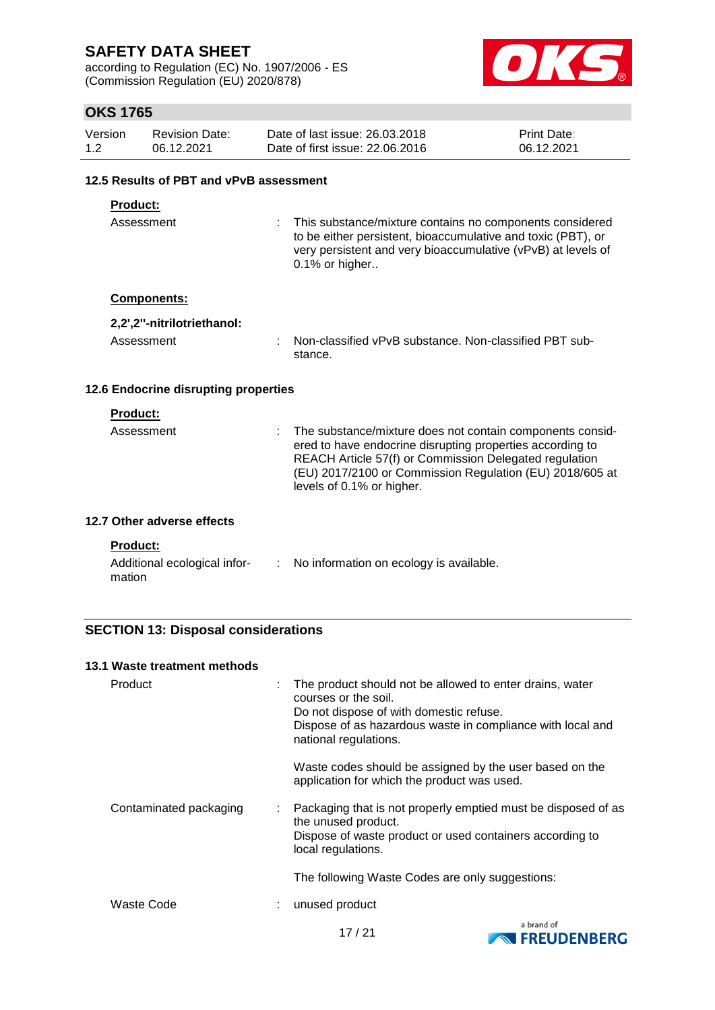according to Regulation (EC) No. 1907/2006 - ES (Commission Regulation (EU) 2020/878)



### **OKS 1765**

| Version | Revision Date: | Date of last issue: 26,03,2018  | <b>Print Date:</b> |
|---------|----------------|---------------------------------|--------------------|
| 1.2     | 06.12.2021     | Date of first issue: 22,06,2016 | 06.12.2021         |

### **12.5 Results of PBT and vPvB assessment**

### **Product:**

Assessment : This substance/mixture contains no components considered to be either persistent, bioaccumulative and toxic (PBT), or very persistent and very bioaccumulative (vPvB) at levels of 0.1% or higher..

#### **Components:**

| 2,2',2"-nitrilotriethanol: |                                                                   |
|----------------------------|-------------------------------------------------------------------|
| Assessment                 | Non-classified vPvB substance. Non-classified PBT sub-<br>stance. |

#### **12.6 Endocrine disrupting properties**

### **Product:**

| Assessment | The substance/mixture does not contain components consid-<br>ered to have endocrine disrupting properties according to<br>REACH Article 57(f) or Commission Delegated regulation<br>(EU) 2017/2100 or Commission Regulation (EU) 2018/605 at<br>levels of 0.1% or higher. |
|------------|---------------------------------------------------------------------------------------------------------------------------------------------------------------------------------------------------------------------------------------------------------------------------|
|            |                                                                                                                                                                                                                                                                           |

### **12.7 Other adverse effects**

#### **Product:**

| Additional ecological infor- | No information on ecology is available. |
|------------------------------|-----------------------------------------|
| mation                       |                                         |

### **SECTION 13: Disposal considerations**

| 13.1 Waste treatment methods |   |                                                                                                                                                                                                                    |
|------------------------------|---|--------------------------------------------------------------------------------------------------------------------------------------------------------------------------------------------------------------------|
| Product                      | ÷ | The product should not be allowed to enter drains, water<br>courses or the soil.<br>Do not dispose of with domestic refuse.<br>Dispose of as hazardous waste in compliance with local and<br>national regulations. |
|                              |   | Waste codes should be assigned by the user based on the<br>application for which the product was used.                                                                                                             |
| Contaminated packaging       | ÷ | Packaging that is not properly emptied must be disposed of as<br>the unused product.<br>Dispose of waste product or used containers according to<br>local regulations.                                             |
|                              |   | The following Waste Codes are only suggestions:                                                                                                                                                                    |
| Waste Code                   |   | unused product                                                                                                                                                                                                     |

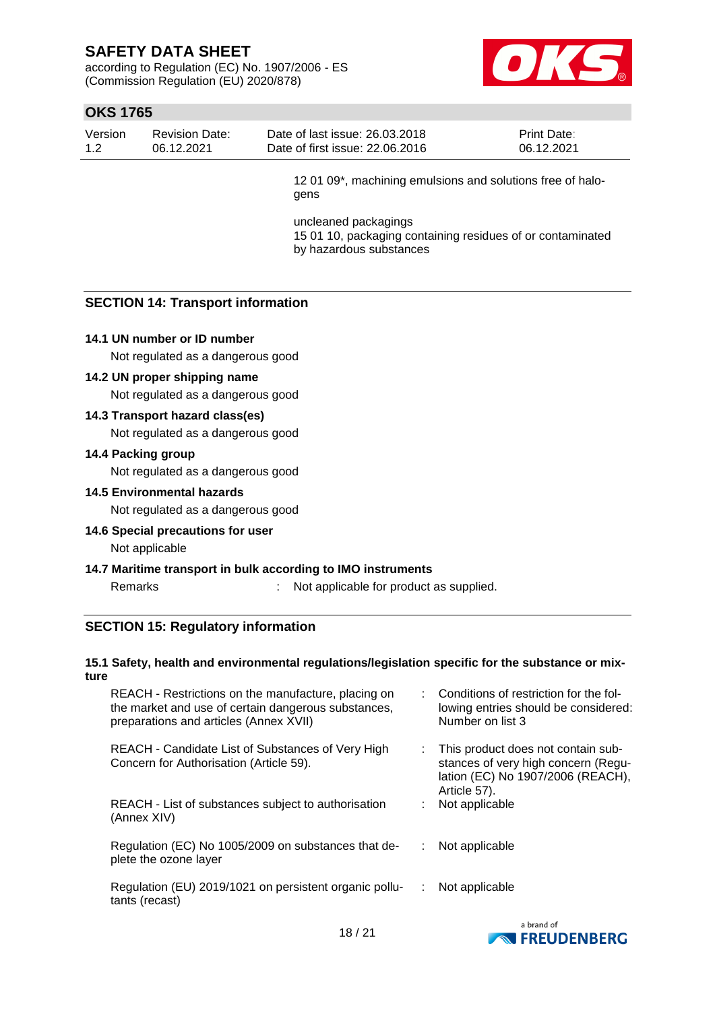according to Regulation (EC) No. 1907/2006 - ES (Commission Regulation (EU) 2020/878)



### **OKS 1765**

| Version | Revision Date: | Date of last issue: 26.03.2018  | <b>Print Date:</b> |
|---------|----------------|---------------------------------|--------------------|
| 1.2     | 06.12.2021     | Date of first issue: 22,06,2016 | 06.12.2021         |

12 01 09\*, machining emulsions and solutions free of halogens

uncleaned packagings 15 01 10, packaging containing residues of or contaminated by hazardous substances

### **SECTION 14: Transport information**

#### **14.1 UN number or ID number**

Not regulated as a dangerous good

#### **14.2 UN proper shipping name**

Not regulated as a dangerous good

#### **14.3 Transport hazard class(es)**

Not regulated as a dangerous good

#### **14.4 Packing group**

Not regulated as a dangerous good

#### **14.5 Environmental hazards**

Not regulated as a dangerous good

**14.6 Special precautions for user** Not applicable

#### **14.7 Maritime transport in bulk according to IMO instruments**

Remarks : Not applicable for product as supplied.

#### **SECTION 15: Regulatory information**

#### **15.1 Safety, health and environmental regulations/legislation specific for the substance or mixture**

| REACH - Restrictions on the manufacture, placing on<br>the market and use of certain dangerous substances,<br>preparations and articles (Annex XVII) |    | : Conditions of restriction for the fol-<br>lowing entries should be considered:<br>Number on list 3                           |
|------------------------------------------------------------------------------------------------------------------------------------------------------|----|--------------------------------------------------------------------------------------------------------------------------------|
| REACH - Candidate List of Substances of Very High<br>Concern for Authorisation (Article 59).                                                         | ÷. | This product does not contain sub-<br>stances of very high concern (Regu-<br>lation (EC) No 1907/2006 (REACH),<br>Article 57). |
| REACH - List of substances subject to authorisation<br>(Annex XIV)                                                                                   |    | Not applicable                                                                                                                 |
| Regulation (EC) No 1005/2009 on substances that de-<br>plete the ozone layer                                                                         |    | Not applicable                                                                                                                 |
| Regulation (EU) 2019/1021 on persistent organic pollu-<br>tants (recast)                                                                             | ÷. | Not applicable                                                                                                                 |
|                                                                                                                                                      |    |                                                                                                                                |

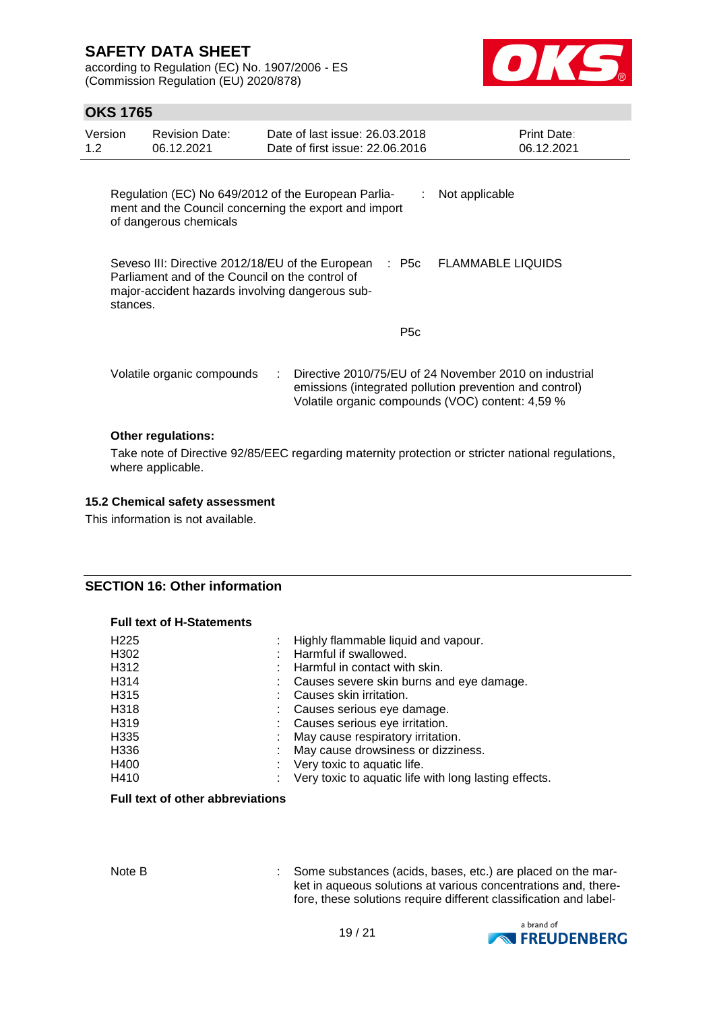according to Regulation (EC) No. 1907/2006 - ES (Commission Regulation (EU) 2020/878)



### **OKS 1765**

| Version<br>1.2 <sub>2</sub> | <b>Revision Date:</b><br>06.12.2021                                                                                                                                                                     |  | Date of last issue: 26,03,2018<br>Date of first issue: 22.06.2016 | Print Date:<br>06.12.2021 |  |  |  |  |
|-----------------------------|---------------------------------------------------------------------------------------------------------------------------------------------------------------------------------------------------------|--|-------------------------------------------------------------------|---------------------------|--|--|--|--|
|                             | Regulation (EC) No 649/2012 of the European Parlia-<br>Not applicable<br>÷<br>ment and the Council concerning the export and import<br>of dangerous chemicals                                           |  |                                                                   |                           |  |  |  |  |
|                             | <b>FLAMMABLE LIQUIDS</b><br>Seveso III: Directive 2012/18/EU of the European<br>: P5c<br>Parliament and of the Council on the control of<br>major-accident hazards involving dangerous sub-<br>stances. |  |                                                                   |                           |  |  |  |  |
|                             |                                                                                                                                                                                                         |  | P <sub>5</sub> c                                                  |                           |  |  |  |  |
|                             | Directive 2010/75/EU of 24 November 2010 on industrial<br>Volatile organic compounds<br>emissions (integrated pollution prevention and control)<br>Volatile organic compounds (VOC) content: 4,59 %     |  |                                                                   |                           |  |  |  |  |
|                             | <b>Other regulations:</b>                                                                                                                                                                               |  |                                                                   |                           |  |  |  |  |
|                             | Take note of Directive 92/85/EEC regarding maternity protection or stricter national regulations,<br>where applicable.                                                                                  |  |                                                                   |                           |  |  |  |  |

#### **15.2 Chemical safety assessment**

This information is not available.

#### **SECTION 16: Other information**

#### **Full text of H-Statements**

| H <sub>225</sub>  | : Highly flammable liquid and vapour.                 |
|-------------------|-------------------------------------------------------|
| H302              | Harmful if swallowed.                                 |
| H312              | Harmful in contact with skin.                         |
| H314              | Causes severe skin burns and eye damage.              |
| H <sub>3</sub> 15 | Causes skin irritation.                               |
| H318              | Causes serious eye damage.                            |
| H319              | : Causes serious eye irritation.                      |
| H335              | May cause respiratory irritation.                     |
| H336              | May cause drowsiness or dizziness.                    |
| H400              | Very toxic to aquatic life.                           |
| H410              | Very toxic to aquatic life with long lasting effects. |

### **Full text of other abbreviations**

Note B : Some substances (acids, bases, etc.) are placed on the market in aqueous solutions at various concentrations and, therefore, these solutions require different classification and label-

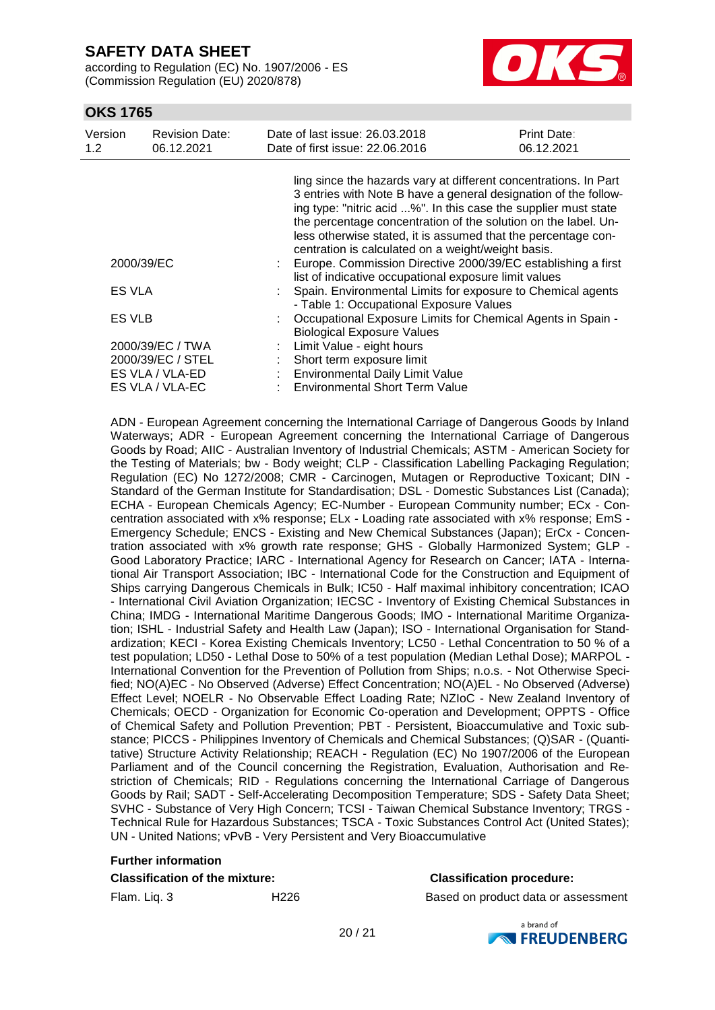according to Regulation (EC) No. 1907/2006 - ES (Commission Regulation (EU) 2020/878)



### **OKS 1765**

| Version<br>1.2 | <b>Revision Date:</b><br>06.12.2021                                         | Date of last issue: 26,03,2018<br>Date of first issue: 22.06.2016                                                                                                                                                                                                                                                                                                                               | Print Date:<br>06.12.2021 |
|----------------|-----------------------------------------------------------------------------|-------------------------------------------------------------------------------------------------------------------------------------------------------------------------------------------------------------------------------------------------------------------------------------------------------------------------------------------------------------------------------------------------|---------------------------|
|                |                                                                             | ling since the hazards vary at different concentrations. In Part<br>3 entries with Note B have a general designation of the follow-<br>ing type: "nitric acid %". In this case the supplier must state<br>the percentage concentration of the solution on the label. Un-<br>less otherwise stated, it is assumed that the percentage con-<br>centration is calculated on a weight/weight basis. |                           |
|                | 2000/39/EC                                                                  | Europe. Commission Directive 2000/39/EC establishing a first<br>list of indicative occupational exposure limit values                                                                                                                                                                                                                                                                           |                           |
| <b>ES VLA</b>  |                                                                             | Spain. Environmental Limits for exposure to Chemical agents<br>- Table 1: Occupational Exposure Values                                                                                                                                                                                                                                                                                          |                           |
| ES VLB         |                                                                             | Occupational Exposure Limits for Chemical Agents in Spain -<br><b>Biological Exposure Values</b>                                                                                                                                                                                                                                                                                                |                           |
|                | 2000/39/EC / TWA<br>2000/39/EC / STEL<br>ES VLA / VLA-ED<br>ES VLA / VLA-EC | Limit Value - eight hours<br>Short term exposure limit<br>Environmental Daily Limit Value<br><b>Environmental Short Term Value</b>                                                                                                                                                                                                                                                              |                           |

ADN - European Agreement concerning the International Carriage of Dangerous Goods by Inland Waterways; ADR - European Agreement concerning the International Carriage of Dangerous Goods by Road; AIIC - Australian Inventory of Industrial Chemicals; ASTM - American Society for the Testing of Materials; bw - Body weight; CLP - Classification Labelling Packaging Regulation; Regulation (EC) No 1272/2008; CMR - Carcinogen, Mutagen or Reproductive Toxicant; DIN - Standard of the German Institute for Standardisation; DSL - Domestic Substances List (Canada); ECHA - European Chemicals Agency; EC-Number - European Community number; ECx - Concentration associated with x% response; ELx - Loading rate associated with x% response; EmS - Emergency Schedule; ENCS - Existing and New Chemical Substances (Japan); ErCx - Concentration associated with x% growth rate response; GHS - Globally Harmonized System; GLP - Good Laboratory Practice; IARC - International Agency for Research on Cancer; IATA - International Air Transport Association; IBC - International Code for the Construction and Equipment of Ships carrying Dangerous Chemicals in Bulk; IC50 - Half maximal inhibitory concentration; ICAO - International Civil Aviation Organization; IECSC - Inventory of Existing Chemical Substances in China; IMDG - International Maritime Dangerous Goods; IMO - International Maritime Organization; ISHL - Industrial Safety and Health Law (Japan); ISO - International Organisation for Standardization; KECI - Korea Existing Chemicals Inventory; LC50 - Lethal Concentration to 50 % of a test population; LD50 - Lethal Dose to 50% of a test population (Median Lethal Dose); MARPOL - International Convention for the Prevention of Pollution from Ships; n.o.s. - Not Otherwise Specified; NO(A)EC - No Observed (Adverse) Effect Concentration; NO(A)EL - No Observed (Adverse) Effect Level; NOELR - No Observable Effect Loading Rate; NZIoC - New Zealand Inventory of Chemicals; OECD - Organization for Economic Co-operation and Development; OPPTS - Office of Chemical Safety and Pollution Prevention; PBT - Persistent, Bioaccumulative and Toxic substance; PICCS - Philippines Inventory of Chemicals and Chemical Substances; (Q)SAR - (Quantitative) Structure Activity Relationship; REACH - Regulation (EC) No 1907/2006 of the European Parliament and of the Council concerning the Registration, Evaluation, Authorisation and Restriction of Chemicals; RID - Regulations concerning the International Carriage of Dangerous Goods by Rail; SADT - Self-Accelerating Decomposition Temperature; SDS - Safety Data Sheet; SVHC - Substance of Very High Concern; TCSI - Taiwan Chemical Substance Inventory; TRGS - Technical Rule for Hazardous Substances; TSCA - Toxic Substances Control Act (United States); UN - United Nations; vPvB - Very Persistent and Very Bioaccumulative

# **Further information**

#### **Classification of the mixture: Classification procedure:**

Flam. Liq. 3 **H226** H226 Based on product data or assessment